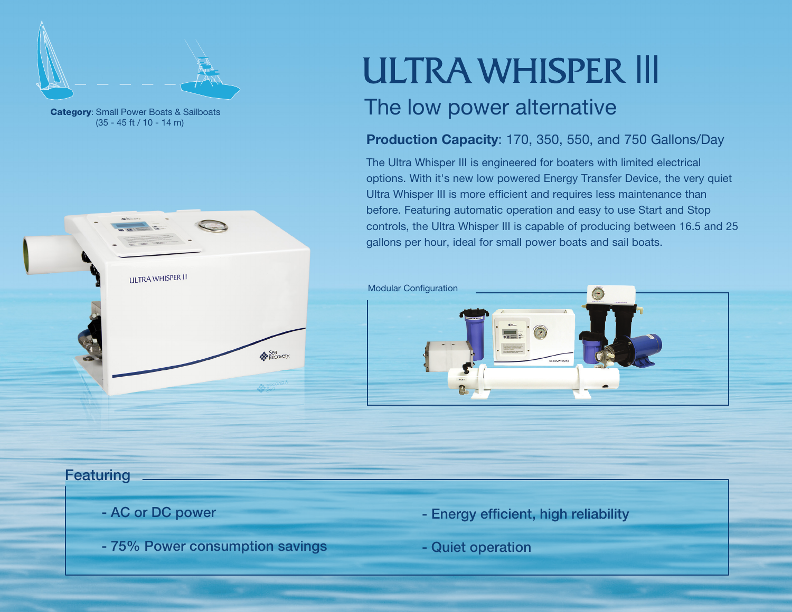

(35 - 45 ft / 10 - 14 m)



# **ULTRA WHISPER III**

## **Category**: Small Power Boats & Sailboats And The low power alternative

#### Production Capacity: 170, 350, 550, and 750 Gallons/Day

The Ultra Whisper III is engineered for boaters with limited electrical options. With it's new low powered Energy Transfer Device, the very quiet Ultra Whisper III is more efficient and requires less maintenance than before. Featuring automatic operation and easy to use Start and Stop controls, the Ultra Whisper III is capable of producing between 16.5 and 25 gallons per hour, ideal for small power boats and sail boats.



#### **Featuring**

- AC or DC power
- 75% Power consumption savings
- Energy efficient, high reliability
- Quiet operation